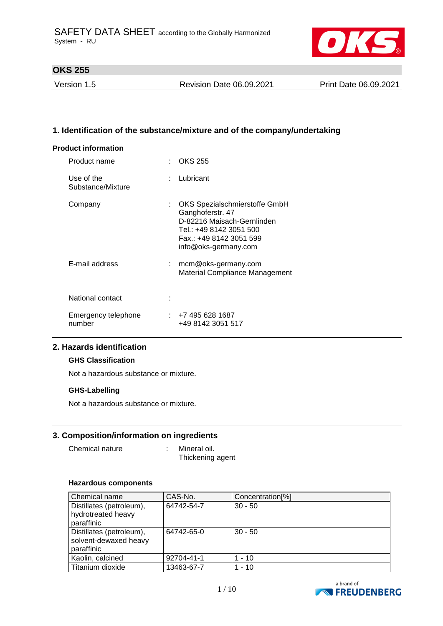

Version 1.5 Revision Date 06.09.2021 Print Date 06.09.2021

### **1. Identification of the substance/mixture and of the company/undertaking**

#### **Product information**

| Product name                    |    | OKS 255                                                                                                                                                       |
|---------------------------------|----|---------------------------------------------------------------------------------------------------------------------------------------------------------------|
| Use of the<br>Substance/Mixture |    | Lubricant                                                                                                                                                     |
| Company                         |    | OKS Spezialschmierstoffe GmbH<br>Ganghoferstr. 47<br>D-82216 Maisach-Gernlinden<br>Tel.: +49 8142 3051 500<br>Fax.: +49 8142 3051 599<br>info@oks-germany.com |
| E-mail address                  | t. | mcm@oks-germany.com<br>Material Compliance Management                                                                                                         |
| National contact                |    |                                                                                                                                                               |
| Emergency telephone<br>number   |    | : 74956281687<br>+49 8142 3051 517                                                                                                                            |

### **2. Hazards identification**

#### **GHS Classification**

Not a hazardous substance or mixture.

#### **GHS-Labelling**

Not a hazardous substance or mixture.

### **3. Composition/information on ingredients**

Chemical nature : Mineral oil.

Thickening agent

#### **Hazardous components**

| Chemical name                                                   | CAS-No.    | Concentration <sup>[%]</sup> |
|-----------------------------------------------------------------|------------|------------------------------|
| Distillates (petroleum),<br>hydrotreated heavy<br>paraffinic    | 64742-54-7 | $30 - 50$                    |
| Distillates (petroleum),<br>solvent-dewaxed heavy<br>paraffinic | 64742-65-0 | $30 - 50$                    |
| Kaolin, calcined                                                | 92704-41-1 | $1 - 10$                     |
| Titanium dioxide                                                | 13463-67-7 | $1 - 10$                     |

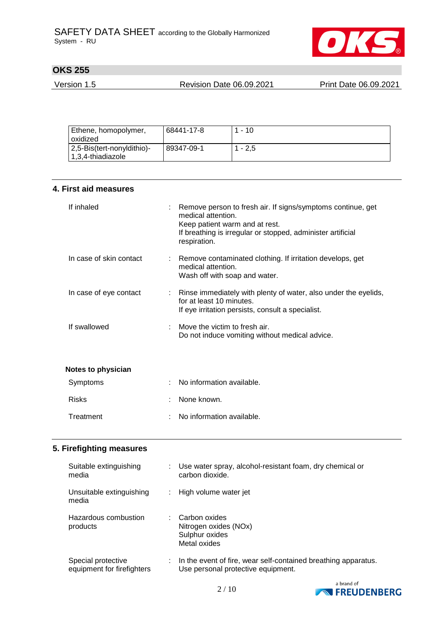

Version 1.5 Revision Date 06.09.2021 Print Date 06.09.2021

| Ethene, homopolymer,       | 68441-17-8 | $-10$     |
|----------------------------|------------|-----------|
| oxidized                   |            |           |
| 2,5-Bis(tert-nonyldithio)- | 89347-09-1 | $1 - 2.5$ |
| 1,3,4-thiadiazole          |            |           |

|  | 4. First aid measures |
|--|-----------------------|
|  |                       |

| If inhaled              | Remove person to fresh air. If signs/symptoms continue, get<br>medical attention.<br>Keep patient warm and at rest.<br>If breathing is irregular or stopped, administer artificial<br>respiration. |
|-------------------------|----------------------------------------------------------------------------------------------------------------------------------------------------------------------------------------------------|
| In case of skin contact | : Remove contaminated clothing. If irritation develops, get<br>medical attention.<br>Wash off with soap and water.                                                                                 |
| In case of eye contact  | Rinse immediately with plenty of water, also under the eyelids,<br>for at least 10 minutes.<br>If eye irritation persists, consult a specialist.                                                   |
| If swallowed            | Move the victim to fresh air.<br>Do not induce vomiting without medical advice.                                                                                                                    |
| Notes to physician      |                                                                                                                                                                                                    |
| Symptoms                | No information available.                                                                                                                                                                          |
| <b>Risks</b>            | None known.                                                                                                                                                                                        |
| Treatment               | No information available.                                                                                                                                                                          |

## **5. Firefighting measures**

| Suitable extinguishing<br>media                  | Use water spray, alcohol-resistant foam, dry chemical or<br>carbon dioxide.                          |
|--------------------------------------------------|------------------------------------------------------------------------------------------------------|
| Unsuitable extinguishing<br>media                | High volume water jet                                                                                |
| Hazardous combustion<br>products                 | Carbon oxides<br>Nitrogen oxides (NOx)<br>Sulphur oxides<br>Metal oxides                             |
| Special protective<br>equipment for firefighters | In the event of fire, wear self-contained breathing apparatus.<br>Use personal protective equipment. |

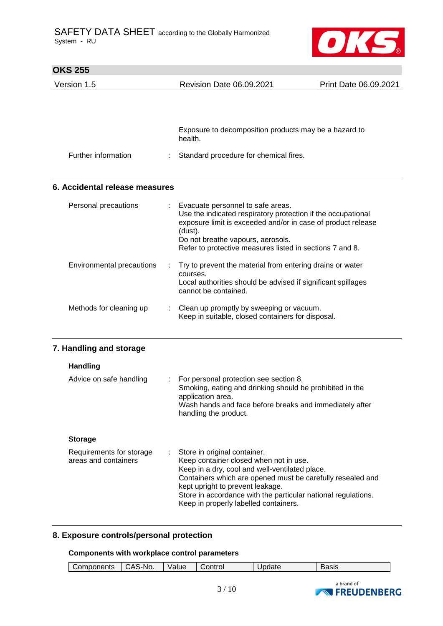

| <b>OKS 255</b>                                   |                                                                                                                                                                                                                                                                                                                                      |                       |
|--------------------------------------------------|--------------------------------------------------------------------------------------------------------------------------------------------------------------------------------------------------------------------------------------------------------------------------------------------------------------------------------------|-----------------------|
| Version 1.5                                      | <b>Revision Date 06.09.2021</b>                                                                                                                                                                                                                                                                                                      | Print Date 06.09.2021 |
|                                                  |                                                                                                                                                                                                                                                                                                                                      |                       |
|                                                  | Exposure to decomposition products may be a hazard to<br>health.                                                                                                                                                                                                                                                                     |                       |
| Further information                              | Standard procedure for chemical fires.                                                                                                                                                                                                                                                                                               |                       |
| 6. Accidental release measures                   |                                                                                                                                                                                                                                                                                                                                      |                       |
| Personal precautions                             | Evacuate personnel to safe areas.<br>Use the indicated respiratory protection if the occupational<br>exposure limit is exceeded and/or in case of product release<br>(dust).<br>Do not breathe vapours, aerosols.<br>Refer to protective measures listed in sections 7 and 8.                                                        |                       |
| Environmental precautions                        | Try to prevent the material from entering drains or water<br>courses.<br>Local authorities should be advised if significant spillages<br>cannot be contained.                                                                                                                                                                        |                       |
| Methods for cleaning up                          | Clean up promptly by sweeping or vacuum.<br>Keep in suitable, closed containers for disposal.                                                                                                                                                                                                                                        |                       |
| 7. Handling and storage                          |                                                                                                                                                                                                                                                                                                                                      |                       |
| <b>Handling</b>                                  |                                                                                                                                                                                                                                                                                                                                      |                       |
| Advice on safe handling                          | For personal protection see section 8.<br>Smoking, eating and drinking should be prohibited in the<br>application area.<br>Wash hands and face before breaks and immediately after<br>handling the product.                                                                                                                          |                       |
| <b>Storage</b>                                   |                                                                                                                                                                                                                                                                                                                                      |                       |
| Requirements for storage<br>areas and containers | Store in original container.<br>Keep container closed when not in use.<br>Keep in a dry, cool and well-ventilated place.<br>Containers which are opened must be carefully resealed and<br>kept upright to prevent leakage.<br>Store in accordance with the particular national regulations.<br>Keep in properly labelled containers. |                       |

#### **8. Exposure controls/personal protection**

#### **Components with workplace control parameters**

| S-NO.<br>วntrol<br>$\mathbf{r}$<br>$\sim$ $\sim$ $\sim$ $\sim$ $\sim$ $\sim$ $\sim$<br>ь.<br>$-1-1$<br>'alue<br>∩m<br>omponents<br>. .<br>$\cdot$<br>$\sim$ $\sim$<br>uuu<br>$\sim$<br>◡ | ، محمد<br>יר<br>odolo |
|------------------------------------------------------------------------------------------------------------------------------------------------------------------------------------------|-----------------------|
|------------------------------------------------------------------------------------------------------------------------------------------------------------------------------------------|-----------------------|

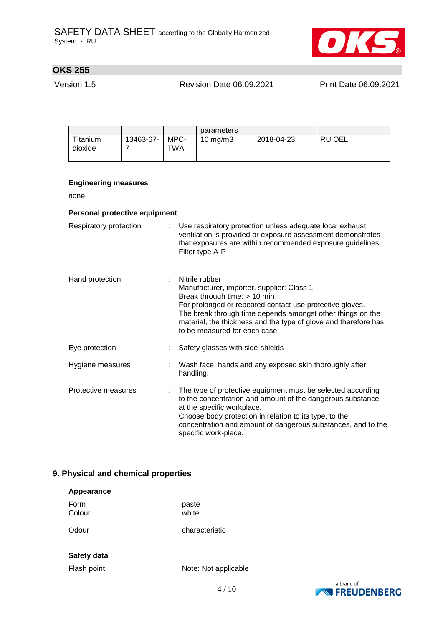

Version 1.5 Revision Date 06.09.2021 Print Date 06.09.2021

|                     |           |             | parameters          |            |        |
|---------------------|-----------|-------------|---------------------|------------|--------|
| Titanium<br>dioxide | 13463-67- | MPC-<br>TWA | $10 \text{ ma/m}$ 3 | 2018-04-23 | RU OEL |

### **Engineering measures**

none

#### **Personal protective equipment**

| Respiratory protection |    | Use respiratory protection unless adequate local exhaust<br>ventilation is provided or exposure assessment demonstrates<br>that exposures are within recommended exposure guidelines.<br>Filter type A-P                                                                                                                    |
|------------------------|----|-----------------------------------------------------------------------------------------------------------------------------------------------------------------------------------------------------------------------------------------------------------------------------------------------------------------------------|
| Hand protection        | ÷. | Nitrile rubber<br>Manufacturer, importer, supplier: Class 1<br>Break through time: $> 10$ min<br>For prolonged or repeated contact use protective gloves.<br>The break through time depends amongst other things on the<br>material, the thickness and the type of glove and therefore has<br>to be measured for each case. |
| Eye protection         |    | Safety glasses with side-shields                                                                                                                                                                                                                                                                                            |
| Hygiene measures       |    | : Wash face, hands and any exposed skin thoroughly after<br>handling.                                                                                                                                                                                                                                                       |
| Protective measures    |    | The type of protective equipment must be selected according<br>to the concentration and amount of the dangerous substance<br>at the specific workplace.<br>Choose body protection in relation to its type, to the<br>concentration and amount of dangerous substances, and to the<br>specific work-place.                   |

#### **9. Physical and chemical properties**

| Appearance     |                      |
|----------------|----------------------|
| Form<br>Colour | paste<br>white<br>t. |
| Odour          | : characteristic     |
| Safety data    |                      |
| Flash point    | Note: Not applicable |

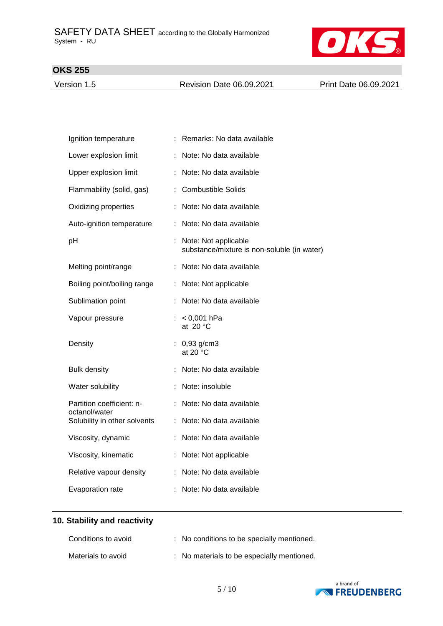

Version 1.5 **Revision Date 06.09.2021** Print Date 06.09.2021

| Ignition temperature                       |    | Remarks: No data available                                            |
|--------------------------------------------|----|-----------------------------------------------------------------------|
| Lower explosion limit                      |    | Note: No data available                                               |
| Upper explosion limit                      |    | : Note: No data available                                             |
| Flammability (solid, gas)                  | ÷. | <b>Combustible Solids</b>                                             |
| Oxidizing properties                       |    | Note: No data available                                               |
| Auto-ignition temperature                  |    | Note: No data available                                               |
| pH                                         |    | : Note: Not applicable<br>substance/mixture is non-soluble (in water) |
| Melting point/range                        |    | : Note: No data available                                             |
| Boiling point/boiling range                |    | : Note: Not applicable                                                |
| Sublimation point                          |    | Note: No data available                                               |
| Vapour pressure                            |    | : $< 0,001$ hPa<br>at 20 $\degree$ C                                  |
| Density                                    |    | $: 0,93$ g/cm3<br>at 20 $\degree$ C                                   |
| <b>Bulk density</b>                        |    | Note: No data available                                               |
| Water solubility                           |    | : Note: insoluble                                                     |
| Partition coefficient: n-<br>octanol/water |    | Note: No data available                                               |
| Solubility in other solvents               |    | : Note: No data available                                             |
| Viscosity, dynamic                         |    | Note: No data available                                               |
| Viscosity, kinematic                       |    | Note: Not applicable                                                  |
| Relative vapour density                    |    | : Note: No data available                                             |
| Evaporation rate                           |    | Note: No data available                                               |

## **10. Stability and reactivity**

| Conditions to avoid | : No conditions to be specially mentioned. |
|---------------------|--------------------------------------------|
| Materials to avoid  | : No materials to be especially mentioned. |

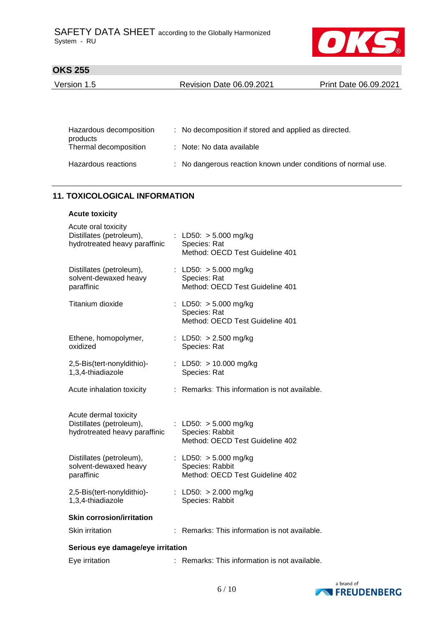

| Version 1.5 | <b>Revision Date 06.09.2021</b> | Print Date 06.09.2021 |
|-------------|---------------------------------|-----------------------|
|             |                                 |                       |

| Hazardous decomposition<br>products | : No decomposition if stored and applied as directed.         |
|-------------------------------------|---------------------------------------------------------------|
| Thermal decomposition               | : Note: No data available                                     |
| Hazardous reactions                 | : No dangerous reaction known under conditions of normal use. |

## **11. TOXICOLOGICAL INFORMATION**

#### **Acute toxicity**

| Acute oral toxicity<br>Distillates (petroleum),<br>hydrotreated heavy paraffinic   |   | : LD50: $> 5.000$ mg/kg<br>Species: Rat<br>Method: OECD Test Guideline 401    |
|------------------------------------------------------------------------------------|---|-------------------------------------------------------------------------------|
| Distillates (petroleum),<br>solvent-dewaxed heavy<br>paraffinic                    |   | : LD50: $> 5.000$ mg/kg<br>Species: Rat<br>Method: OECD Test Guideline 401    |
| Titanium dioxide                                                                   |   | : LD50: $> 5.000$ mg/kg<br>Species: Rat<br>Method: OECD Test Guideline 401    |
| Ethene, homopolymer,<br>oxidized                                                   |   | : LD50: $> 2.500$ mg/kg<br>Species: Rat                                       |
| 2,5-Bis(tert-nonyldithio)-<br>1,3,4-thiadiazole                                    |   | : LD50: $> 10.000$ mg/kg<br>Species: Rat                                      |
| Acute inhalation toxicity                                                          | ÷ | Remarks: This information is not available.                                   |
| Acute dermal toxicity<br>Distillates (petroleum),<br>hydrotreated heavy paraffinic |   | : LD50: $> 5.000$ mg/kg<br>Species: Rabbit<br>Method: OECD Test Guideline 402 |
| Distillates (petroleum),<br>solvent-dewaxed heavy<br>paraffinic                    |   | : LD50: $> 5.000$ mg/kg<br>Species: Rabbit<br>Method: OECD Test Guideline 402 |
| 2,5-Bis(tert-nonyldithio)-<br>1,3,4-thiadiazole                                    |   | : LD50: $> 2.000$ mg/kg<br>Species: Rabbit                                    |
| <b>Skin corrosion/irritation</b>                                                   |   |                                                                               |
| Skin irritation                                                                    |   | : Remarks: This information is not available.                                 |
| Serious eye damage/eye irritation                                                  |   |                                                                               |
| Eye irritation                                                                     |   | Remarks: This information is not available.                                   |

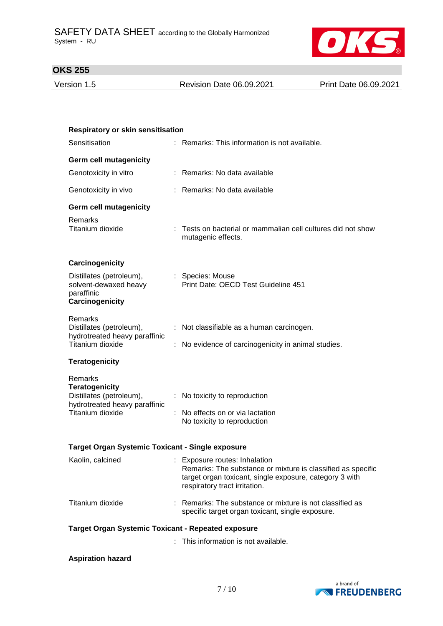

Version 1.5 Revision Date 06.09.2021 Print Date 06.09.2021

| <b>Respiratory or skin sensitisation</b>                                                                          |  |                                                                                                                                                                                          |  |
|-------------------------------------------------------------------------------------------------------------------|--|------------------------------------------------------------------------------------------------------------------------------------------------------------------------------------------|--|
| Sensitisation                                                                                                     |  | : Remarks: This information is not available.                                                                                                                                            |  |
| <b>Germ cell mutagenicity</b>                                                                                     |  |                                                                                                                                                                                          |  |
| Genotoxicity in vitro                                                                                             |  | : Remarks: No data available                                                                                                                                                             |  |
| Genotoxicity in vivo                                                                                              |  | : Remarks: No data available                                                                                                                                                             |  |
| <b>Germ cell mutagenicity</b>                                                                                     |  |                                                                                                                                                                                          |  |
| Remarks<br>Titanium dioxide                                                                                       |  | : Tests on bacterial or mammalian cell cultures did not show<br>mutagenic effects.                                                                                                       |  |
| Carcinogenicity                                                                                                   |  |                                                                                                                                                                                          |  |
| Distillates (petroleum),<br>solvent-dewaxed heavy<br>paraffinic<br>Carcinogenicity                                |  | : Species: Mouse<br>Print Date: OECD Test Guideline 451                                                                                                                                  |  |
| Remarks<br>Distillates (petroleum),<br>hydrotreated heavy paraffinic                                              |  |                                                                                                                                                                                          |  |
|                                                                                                                   |  | : Not classifiable as a human carcinogen.                                                                                                                                                |  |
| Titanium dioxide                                                                                                  |  | No evidence of carcinogenicity in animal studies.                                                                                                                                        |  |
| <b>Teratogenicity</b>                                                                                             |  |                                                                                                                                                                                          |  |
| Remarks<br><b>Teratogenicity</b><br>Distillates (petroleum),<br>hydrotreated heavy paraffinic<br>Titanium dioxide |  | No toxicity to reproduction<br>No effects on or via lactation<br>No toxicity to reproduction                                                                                             |  |
|                                                                                                                   |  |                                                                                                                                                                                          |  |
| <b>Target Organ Systemic Toxicant - Single exposure</b><br>Kaolin, calcined                                       |  |                                                                                                                                                                                          |  |
|                                                                                                                   |  | : Exposure routes: Inhalation<br>Remarks: The substance or mixture is classified as specific<br>target organ toxicant, single exposure, category 3 with<br>respiratory tract irritation. |  |
| Titanium dioxide                                                                                                  |  | : Remarks: The substance or mixture is not classified as<br>specific target organ toxicant, single exposure.                                                                             |  |
| <b>Target Organ Systemic Toxicant - Repeated exposure</b>                                                         |  |                                                                                                                                                                                          |  |
|                                                                                                                   |  | This information is not available.                                                                                                                                                       |  |

## **Aspiration hazard**

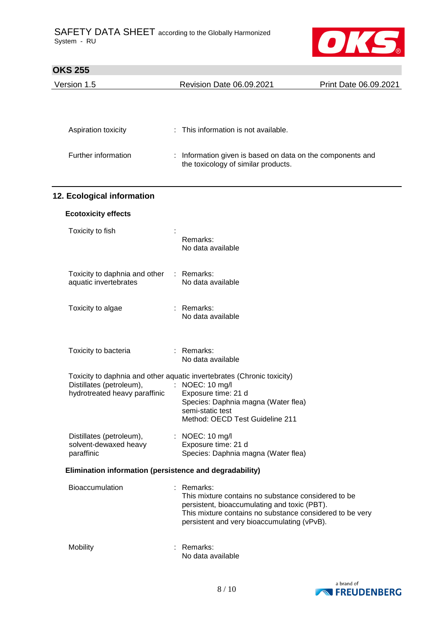

| UNJ ZJJ                                                   |                                                                                                     |                       |
|-----------------------------------------------------------|-----------------------------------------------------------------------------------------------------|-----------------------|
| Version 1.5                                               | Revision Date 06.09.2021                                                                            | Print Date 06.09.2021 |
|                                                           |                                                                                                     |                       |
|                                                           |                                                                                                     |                       |
| Aspiration toxicity                                       | : This information is not available.                                                                |                       |
| Further information                                       | : Information given is based on data on the components and                                          |                       |
|                                                           | the toxicology of similar products.                                                                 |                       |
|                                                           |                                                                                                     |                       |
| 12. Ecological information                                |                                                                                                     |                       |
| <b>Ecotoxicity effects</b>                                |                                                                                                     |                       |
| Toxicity to fish                                          |                                                                                                     |                       |
|                                                           | Remarks:<br>No data available                                                                       |                       |
|                                                           |                                                                                                     |                       |
| Toxicity to daphnia and other<br>aquatic invertebrates    | : Remarks:<br>No data available                                                                     |                       |
|                                                           |                                                                                                     |                       |
| Toxicity to algae                                         | : Remarks:                                                                                          |                       |
|                                                           | No data available                                                                                   |                       |
|                                                           |                                                                                                     |                       |
| Toxicity to bacteria                                      | : Remarks:<br>No data available                                                                     |                       |
|                                                           | Toxicity to daphnia and other aquatic invertebrates (Chronic toxicity)                              |                       |
| Distillates (petroleum),<br>hydrotreated heavy paraffinic | : NOEC: 10 mg/l<br>Exposure time: 21 d                                                              |                       |
|                                                           | Species: Daphnia magna (Water flea)<br>semi-static test                                             |                       |
|                                                           | Method: OECD Test Guideline 211                                                                     |                       |
| Distillates (petroleum),                                  | : NOEC: 10 mg/l                                                                                     |                       |
| solvent-dewaxed heavy<br>paraffinic                       | Exposure time: 21 d<br>Species: Daphnia magna (Water flea)                                          |                       |
| Elimination information (persistence and degradability)   |                                                                                                     |                       |
| <b>Bioaccumulation</b>                                    | : Remarks:                                                                                          |                       |
|                                                           | This mixture contains no substance considered to be<br>persistent, bioaccumulating and toxic (PBT). |                       |
|                                                           | This mixture contains no substance considered to be very                                            |                       |
|                                                           | persistent and very bioaccumulating (vPvB).                                                         |                       |
| Mobility                                                  | Remarks:                                                                                            |                       |
|                                                           | No data available                                                                                   |                       |

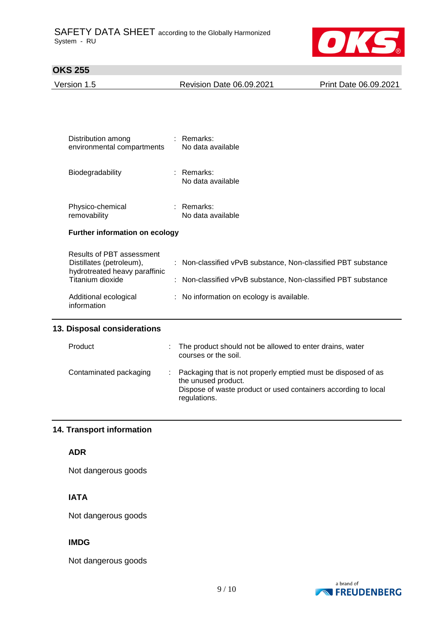

| Version 1.5 | <b>Revision Date 06.09.2021</b> | Print Date 06.09.2021 |
|-------------|---------------------------------|-----------------------|
|             |                                 |                       |
|             |                                 |                       |
|             |                                 |                       |
|             |                                 |                       |

| : Remarks:<br>environmental compartments<br>No data available |  |  |  |
|---------------------------------------------------------------|--|--|--|
| : Remarks:<br>No data available                               |  |  |  |
| : Remarks:<br>No data available                               |  |  |  |
| Further information on ecology                                |  |  |  |
|                                                               |  |  |  |
| : Non-classified vPvB substance, Non-classified PBT substance |  |  |  |
| : Non-classified vPvB substance, Non-classified PBT substance |  |  |  |
|                                                               |  |  |  |

## **13. Disposal considerations**

| Product                | The product should not be allowed to enter drains, water<br>courses or the soil.                                                                                       |
|------------------------|------------------------------------------------------------------------------------------------------------------------------------------------------------------------|
| Contaminated packaging | Packaging that is not properly emptied must be disposed of as<br>the unused product.<br>Dispose of waste product or used containers according to local<br>regulations. |

## **14. Transport information**

## **ADR**

Not dangerous goods

## **IATA**

Not dangerous goods

### **IMDG**

Not dangerous goods